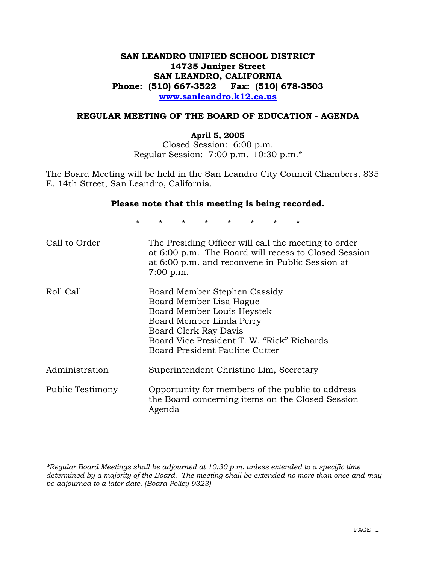# **SAN LEANDRO UNIFIED SCHOOL DISTRICT 14735 Juniper Street SAN LEANDRO, CALIFORNIA Phone: (510) 667-3522 Fax: (510) 678-3503 www.sanleandro.k12.ca.us**

#### **REGULAR MEETING OF THE BOARD OF EDUCATION - AGENDA**

#### **April 5, 2005**

Closed Session: 6:00 p.m. Regular Session: 7:00 p.m.–10:30 p.m.\*

The Board Meeting will be held in the San Leandro City Council Chambers, 835 E. 14th Street, San Leandro, California.

#### **Please note that this meeting is being recorded.**

\* \* \* \* \* \* \* \* Call to Order The Presiding Officer will call the meeting to order at 6:00 p.m. The Board will recess to Closed Session at 6:00 p.m. and reconvene in Public Session at 7:00 p.m. Roll Call Board Member Stephen Cassidy Board Member Lisa Hague Board Member Louis Heystek Board Member Linda Perry Board Clerk Ray Davis Board Vice President T. W. "Rick" Richards Board President Pauline Cutter Administration Superintendent Christine Lim, Secretary Public Testimony Opportunity for members of the public to address the Board concerning items on the Closed Session Agenda

*\*Regular Board Meetings shall be adjourned at 10:30 p.m. unless extended to a specific time determined by a majority of the Board. The meeting shall be extended no more than once and may be adjourned to a later date. (Board Policy 9323)*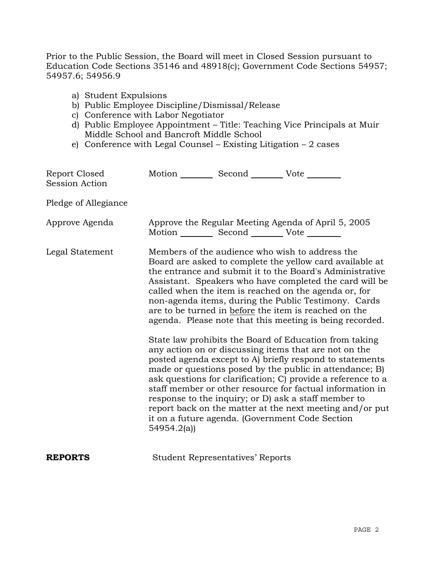Prior to the Public Session, the Board will meet in Closed Session pursuant to Education Code Sections 35146 and 48918(c); Government Code Sections 54957; 54957.6; 54956.9

- a) Student Expulsions
- b) Public Employee Discipline/Dismissal/Release
- c) Conference with Labor Negotiator
- d) Public Employee Appointment Title: Teaching Vice Principals at Muir Middle School and Bancroft Middle School
- e) Conference with Legal Counsel Existing Litigation 2 cases

| Report Closed<br>Session Action | Motion __________ Second __________ Vote ________ |                                         |                                                                                                                                                                                                                                                                                                                                                                                                                                                                                                                                                                                                                                                                                                                                                                                                                                                                                                                                                                                                                        |
|---------------------------------|---------------------------------------------------|-----------------------------------------|------------------------------------------------------------------------------------------------------------------------------------------------------------------------------------------------------------------------------------------------------------------------------------------------------------------------------------------------------------------------------------------------------------------------------------------------------------------------------------------------------------------------------------------------------------------------------------------------------------------------------------------------------------------------------------------------------------------------------------------------------------------------------------------------------------------------------------------------------------------------------------------------------------------------------------------------------------------------------------------------------------------------|
| Pledge of Allegiance            |                                                   |                                         |                                                                                                                                                                                                                                                                                                                                                                                                                                                                                                                                                                                                                                                                                                                                                                                                                                                                                                                                                                                                                        |
| Approve Agenda                  | Motion __________ Second __________ Vote ________ |                                         | Approve the Regular Meeting Agenda of April 5, 2005                                                                                                                                                                                                                                                                                                                                                                                                                                                                                                                                                                                                                                                                                                                                                                                                                                                                                                                                                                    |
| Legal Statement                 | 54954.2(a)                                        |                                         | Members of the audience who wish to address the<br>Board are asked to complete the yellow card available at<br>the entrance and submit it to the Board's Administrative<br>Assistant. Speakers who have completed the card will be<br>called when the item is reached on the agenda or, for<br>non-agenda items, during the Public Testimony. Cards<br>are to be turned in before the item is reached on the<br>agenda. Please note that this meeting is being recorded.<br>State law prohibits the Board of Education from taking<br>any action on or discussing items that are not on the<br>posted agenda except to A) briefly respond to statements<br>made or questions posed by the public in attendance; B)<br>ask questions for clarification; C) provide a reference to a<br>staff member or other resource for factual information in<br>response to the inquiry; or D) ask a staff member to<br>report back on the matter at the next meeting and/or put<br>it on a future agenda. (Government Code Section |
| <b>REPORTS</b>                  |                                                   | <b>Student Representatives' Reports</b> |                                                                                                                                                                                                                                                                                                                                                                                                                                                                                                                                                                                                                                                                                                                                                                                                                                                                                                                                                                                                                        |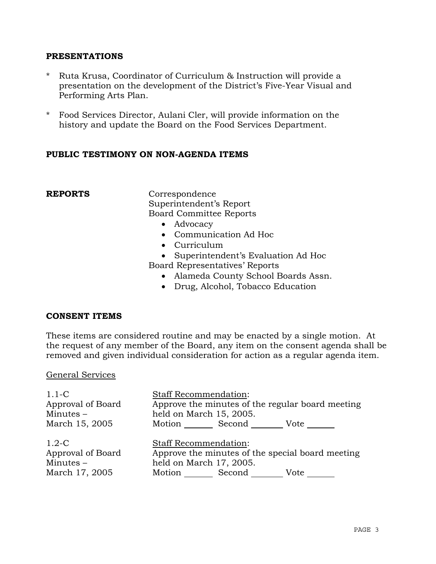#### **PRESENTATIONS**

- \* Ruta Krusa, Coordinator of Curriculum & Instruction will provide a presentation on the development of the District's Five-Year Visual and Performing Arts Plan.
- \* Food Services Director, Aulani Cler, will provide information on the history and update the Board on the Food Services Department.

### **PUBLIC TESTIMONY ON NON-AGENDA ITEMS**

**REPORTS** Correspondence Superintendent's Report Board Committee Reports

- Advocacy
- Communication Ad Hoc
- Curriculum
- Superintendent's Evaluation Ad Hoc
- Board Representatives' Reports
	- Alameda County School Boards Assn.
	- Drug, Alcohol, Tobacco Education

#### **CONSENT ITEMS**

These items are considered routine and may be enacted by a single motion. At the request of any member of the Board, any item on the consent agenda shall be removed and given individual consideration for action as a regular agenda item.

#### General Services

| $1.1-C$<br>Approval of Board<br>Minutes $-$                   | <b>Staff Recommendation:</b><br>Approve the minutes of the regular board meeting<br>held on March 15, 2005.                          |
|---------------------------------------------------------------|--------------------------------------------------------------------------------------------------------------------------------------|
| March 15, 2005                                                | Motion Second<br>Vote                                                                                                                |
| $1.2-C$<br>Approval of Board<br>Minutes $-$<br>March 17, 2005 | <b>Staff Recommendation:</b><br>Approve the minutes of the special board meeting<br>held on March 17, 2005.<br>Motion Second<br>Vote |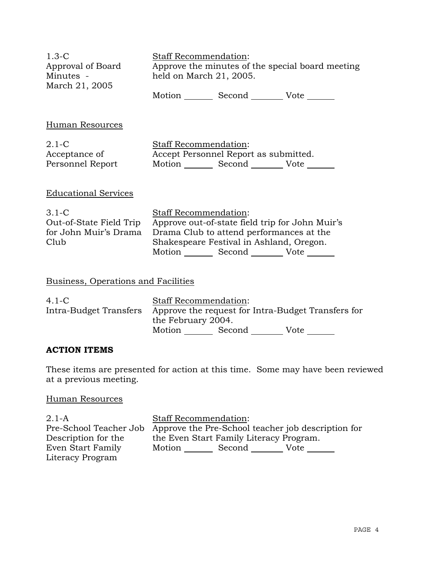| $1.3-C$<br>Approval of Board<br>Minutes -<br>March 21, 2005           | <b>Staff Recommendation:</b><br>Approve the minutes of the special board meeting<br>held on March 21, 2005.                                                                                                                |  |
|-----------------------------------------------------------------------|----------------------------------------------------------------------------------------------------------------------------------------------------------------------------------------------------------------------------|--|
|                                                                       | Motion _________ Second __________ Vote _______                                                                                                                                                                            |  |
| Human Resources                                                       |                                                                                                                                                                                                                            |  |
| $2.1-C$<br>Acceptance of<br>Personnel Report                          | Staff Recommendation:<br>Accept Personnel Report as submitted.<br>Motion _________ Second __________ Vote _______                                                                                                          |  |
| <b>Educational Services</b>                                           |                                                                                                                                                                                                                            |  |
| $3.1 - C$<br>Out-of-State Field Trip<br>for John Muir's Drama<br>Club | <b>Staff Recommendation:</b><br>Approve out-of-state field trip for John Muir's<br>Drama Club to attend performances at the<br>Shakespeare Festival in Ashland, Oregon.<br>Motion _________ Second __________ Vote _______ |  |
| Business, Operations and Facilities                                   |                                                                                                                                                                                                                            |  |
| $4.1-C$<br>Intra-Budget Transfers                                     | Staff Recommendation:<br>Approve the request for Intra-Budget Transfers for<br>the February 2004.<br>Motion _________ Second _________ Vote _______                                                                        |  |
| <b>ACTION ITEMS</b>                                                   |                                                                                                                                                                                                                            |  |

These items are presented for action at this time. Some may have been reviewed at a previous meeting.

# Human Resources

| $2.1-A$             | <b>Staff Recommendation:</b>                                              |
|---------------------|---------------------------------------------------------------------------|
|                     | Pre-School Teacher Job Approve the Pre-School teacher job description for |
| Description for the | the Even Start Family Literacy Program.                                   |
| Even Start Family   | Motion<br>Second<br>Vote                                                  |
| Literacy Program    |                                                                           |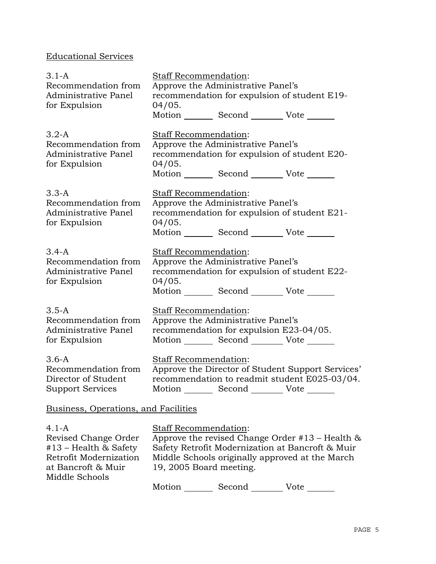# Educational Services

| $3.1 - A$                                    | Staff Recommendation:                                                              |                                                                                            |                                                      |
|----------------------------------------------|------------------------------------------------------------------------------------|--------------------------------------------------------------------------------------------|------------------------------------------------------|
| Recommendation from<br>Administrative Panel  | Approve the Administrative Panel's<br>recommendation for expulsion of student E19- |                                                                                            |                                                      |
| for Expulsion                                | 04/05.                                                                             |                                                                                            |                                                      |
|                                              |                                                                                    | Motion _________ Second __________ Vote _______                                            |                                                      |
| $3.2-A$                                      | <b>Staff Recommendation:</b>                                                       |                                                                                            |                                                      |
| Recommendation from                          |                                                                                    | Approve the Administrative Panel's                                                         |                                                      |
| Administrative Panel<br>for Expulsion        | 04/05.                                                                             |                                                                                            | recommendation for expulsion of student E20-         |
|                                              |                                                                                    | Motion _________ Second __________ Vote _______                                            |                                                      |
| $3.3-A$                                      | <b>Staff Recommendation:</b>                                                       |                                                                                            |                                                      |
| Recommendation from                          |                                                                                    | Approve the Administrative Panel's                                                         |                                                      |
| Administrative Panel                         |                                                                                    |                                                                                            | recommendation for expulsion of student E21-         |
| for Expulsion                                | 04/05.                                                                             | Motion _________ Second __________ Vote _______                                            |                                                      |
| $3.4-A$                                      | Staff Recommendation:                                                              |                                                                                            |                                                      |
| Recommendation from                          |                                                                                    | Approve the Administrative Panel's                                                         |                                                      |
| Administrative Panel<br>for Expulsion        | 04/05.                                                                             |                                                                                            | recommendation for expulsion of student E22-         |
|                                              |                                                                                    | Motion _________ Second __________ Vote _______                                            |                                                      |
| $3.5-A$                                      | <b>Staff Recommendation:</b>                                                       |                                                                                            |                                                      |
| Recommendation from                          |                                                                                    | Approve the Administrative Panel's                                                         |                                                      |
| Administrative Panel<br>for Expulsion        |                                                                                    | recommendation for expulsion E23-04/05.<br>Motion _________ Second __________ Vote _______ |                                                      |
| $3.6 - A$                                    | Staff Recommendation:                                                              |                                                                                            |                                                      |
| Recommendation from                          |                                                                                    |                                                                                            | Approve the Director of Student Support Services'    |
| Director of Student                          |                                                                                    |                                                                                            | recommendation to readmit student E025-03/04.        |
| <b>Support Services</b>                      |                                                                                    | Motion ________ Second _________ Vote ____                                                 |                                                      |
| Business, Operations, and Facilities         |                                                                                    |                                                                                            |                                                      |
| $4.1 - A$                                    | Staff Recommendation:                                                              |                                                                                            |                                                      |
| Revised Change Order                         |                                                                                    |                                                                                            | Approve the revised Change Order $#13$ – Health $\&$ |
| $#13$ – Health & Safety                      |                                                                                    |                                                                                            | Safety Retrofit Modernization at Bancroft & Muir     |
| Retrofit Modernization<br>at Bancroft & Muir | 19, 2005 Board meeting.                                                            |                                                                                            | Middle Schools originally approved at the March      |
| Middle Schools                               |                                                                                    |                                                                                            |                                                      |
|                                              |                                                                                    | Motion Second Vote                                                                         |                                                      |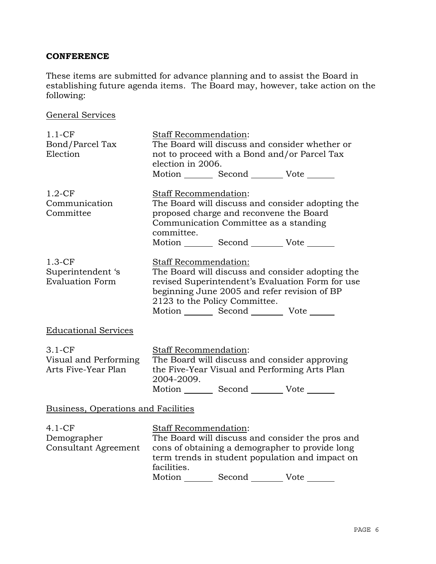## **CONFERENCE**

These items are submitted for advance planning and to assist the Board in establishing future agenda items. The Board may, however, take action on the following:

General Services

| $1.1-CF$<br>Bond/Parcel Tax<br>Election                  | Staff Recommendation:<br>The Board will discuss and consider whether or<br>not to proceed with a Bond and/or Parcel Tax<br>election in 2006.<br>Motion _________ Second __________ Vote _______                                                                           |
|----------------------------------------------------------|---------------------------------------------------------------------------------------------------------------------------------------------------------------------------------------------------------------------------------------------------------------------------|
| $1.2-CF$<br>Communication<br>Committee                   | <b>Staff Recommendation:</b><br>The Board will discuss and consider adopting the<br>proposed charge and reconvene the Board<br>Communication Committee as a standing<br>committee.<br>Motion Second Vote ______                                                           |
| $1.3-CF$<br>Superintendent 's<br><b>Evaluation Form</b>  | <b>Staff Recommendation:</b><br>The Board will discuss and consider adopting the<br>revised Superintendent's Evaluation Form for use<br>beginning June 2005 and refer revision of BP<br>2123 to the Policy Committee.<br>Motion _________ Second ___________ Vote _______ |
| <b>Educational Services</b>                              |                                                                                                                                                                                                                                                                           |
| $3.1-CF$<br>Visual and Performing<br>Arts Five-Year Plan | Staff Recommendation:<br>The Board will discuss and consider approving<br>the Five-Year Visual and Performing Arts Plan<br>2004-2009.<br>Motion _________ Second __________ Vote _______                                                                                  |
| Business, Operations and Facilities                      |                                                                                                                                                                                                                                                                           |
| $4.1-CF$<br>Demographer<br><b>Consultant Agreement</b>   | Staff Recommendation:<br>The Board will discuss and consider the pros and<br>cons of obtaining a demographer to provide long<br>term trends in student population and impact on<br>facilities.                                                                            |

Motion Second Vote \_\_\_\_\_\_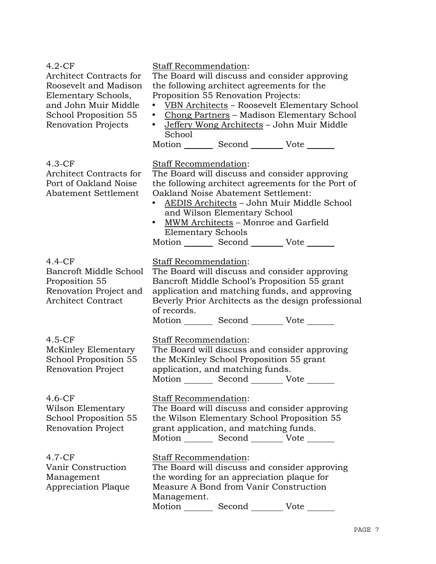| $4.2-CF$<br>Architect Contracts for<br>Roosevelt and Madison<br>Elementary Schools,<br>and John Muir Middle<br>School Proposition 55<br>Renovation Projects | Staff Recommendation:<br>The Board will discuss and consider approving<br>the following architect agreements for the<br>Proposition 55 Renovation Projects:<br>VBN Architects - Roosevelt Elementary School<br>Chong Partners - Madison Elementary School<br>$\bullet$<br>Jeffery Wong Architects - John Muir Middle<br>$\bullet$<br>School<br>Motion _________ Second __________ Vote _______ |
|-------------------------------------------------------------------------------------------------------------------------------------------------------------|------------------------------------------------------------------------------------------------------------------------------------------------------------------------------------------------------------------------------------------------------------------------------------------------------------------------------------------------------------------------------------------------|
| $4.3-CF$<br><b>Architect Contracts for</b><br>Port of Oakland Noise<br>Abatement Settlement                                                                 | Staff Recommendation:<br>The Board will discuss and consider approving<br>the following architect agreements for the Port of<br>Oakland Noise Abatement Settlement:<br>AEDIS Architects - John Muir Middle School<br>and Wilson Elementary School<br>MWM Architects - Monroe and Garfield<br>$\bullet$<br><b>Elementary Schools</b><br>Motion _________ Second __________ Vote _______         |
| $4.4-CF$<br>Bancroft Middle School<br>Proposition 55<br>Renovation Project and<br><b>Architect Contract</b>                                                 | Staff Recommendation:<br>The Board will discuss and consider approving<br>Bancroft Middle School's Proposition 55 grant<br>application and matching funds, and approving<br>Beverly Prior Architects as the design professional<br>of records.<br>Motion _________ Second __________ Vote _______                                                                                              |
| $4.5-CF$<br>McKinley Elementary<br>School Proposition 55<br><b>Renovation Project</b>                                                                       | Staff Recommendation:<br>The Board will discuss and consider approving<br>the McKinley School Proposition 55 grant<br>application, and matching funds.<br>Motion Second Vote                                                                                                                                                                                                                   |
| $4.6-CF$<br>Wilson Elementary<br>School Proposition 55<br><b>Renovation Project</b>                                                                         | Staff Recommendation:<br>The Board will discuss and consider approving<br>the Wilson Elementary School Proposition 55<br>grant application, and matching funds.<br>Motion _________ Second __________ Vote _______                                                                                                                                                                             |
| $4.7-CF$<br>Vanir Construction<br>Management<br><b>Appreciation Plaque</b>                                                                                  | Staff Recommendation:<br>The Board will discuss and consider approving<br>the wording for an appreciation plaque for<br>Measure A Bond from Vanir Construction<br>Management.<br>Motion Second<br>Vote                                                                                                                                                                                         |